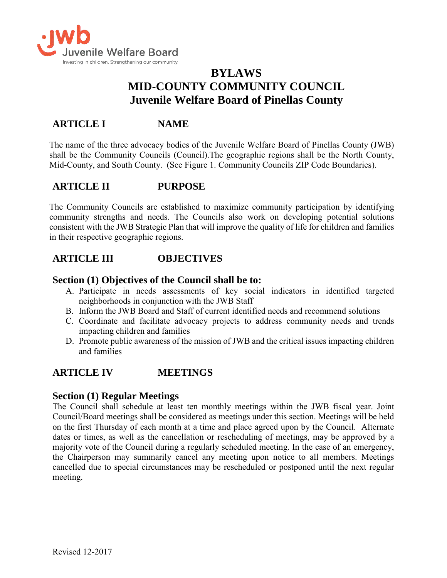

# **BYLAWS MID-COUNTY COMMUNITY COUNCIL Juvenile Welfare Board of Pinellas County**

# **ARTICLE I NAME**

The name of the three advocacy bodies of the Juvenile Welfare Board of Pinellas County (JWB) shall be the Community Councils (Council).The geographic regions shall be the North County, Mid-County, and South County. (See Figure 1. Community Councils ZIP Code Boundaries).

# **ARTICLE II PURPOSE**

The Community Councils are established to maximize community participation by identifying community strengths and needs. The Councils also work on developing potential solutions consistent with the JWB Strategic Plan that will improve the quality of life for children and families in their respective geographic regions.

## **ARTICLE III OBJECTIVES**

### **Section (1) Objectives of the Council shall be to:**

- A. Participate in needs assessments of key social indicators in identified targeted neighborhoods in conjunction with the JWB Staff
- B. Inform the JWB Board and Staff of current identified needs and recommend solutions
- C. Coordinate and facilitate advocacy projects to address community needs and trends impacting children and families
- D. Promote public awareness of the mission of JWB and the critical issues impacting children and families

# **ARTICLE IV MEETINGS**

### **Section (1) Regular Meetings**

The Council shall schedule at least ten monthly meetings within the JWB fiscal year. Joint Council/Board meetings shall be considered as meetings under this section. Meetings will be held on the first Thursday of each month at a time and place agreed upon by the Council. Alternate dates or times, as well as the cancellation or rescheduling of meetings, may be approved by a majority vote of the Council during a regularly scheduled meeting. In the case of an emergency, the Chairperson may summarily cancel any meeting upon notice to all members. Meetings cancelled due to special circumstances may be rescheduled or postponed until the next regular meeting.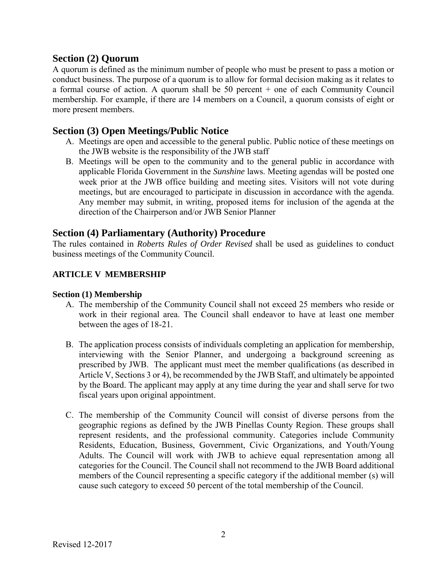### **Section (2) Quorum**

A quorum is defined as the minimum number of people who must be present to pass a motion or conduct business. The purpose of a quorum is to allow for formal decision making as it relates to a formal course of action. A quorum shall be 50 percent + one of each Community Council membership. For example, if there are 14 members on a Council, a quorum consists of eight or more present members.

### **Section (3) Open Meetings/Public Notice**

- A. Meetings are open and accessible to the general public. Public notice of these meetings on the JWB website is the responsibility of the JWB staff
- B. Meetings will be open to the community and to the general public in accordance with applicable Florida Government in the *Sunshine* laws. Meeting agendas will be posted one week prior at the JWB office building and meeting sites. Visitors will not vote during meetings, but are encouraged to participate in discussion in accordance with the agenda. Any member may submit, in writing, proposed items for inclusion of the agenda at the direction of the Chairperson and/or JWB Senior Planner

### **Section (4) Parliamentary (Authority) Procedure**

The rules contained in *Roberts Rules of Order Revised* shall be used as guidelines to conduct business meetings of the Community Council.

#### **ARTICLE V MEMBERSHIP**

#### **Section (1) Membership**

- A. The membership of the Community Council shall not exceed 25 members who reside or work in their regional area. The Council shall endeavor to have at least one member between the ages of 18-21.
- B. The application process consists of individuals completing an application for membership, interviewing with the Senior Planner, and undergoing a background screening as prescribed by JWB. The applicant must meet the member qualifications (as described in Article V, Sections 3 or 4), be recommended by the JWB Staff, and ultimately be appointed by the Board. The applicant may apply at any time during the year and shall serve for two fiscal years upon original appointment.
- C. The membership of the Community Council will consist of diverse persons from the geographic regions as defined by the JWB Pinellas County Region. These groups shall represent residents, and the professional community. Categories include Community Residents, Education, Business, Government, Civic Organizations, and Youth/Young Adults. The Council will work with JWB to achieve equal representation among all categories for the Council. The Council shall not recommend to the JWB Board additional members of the Council representing a specific category if the additional member (s) will cause such category to exceed 50 percent of the total membership of the Council.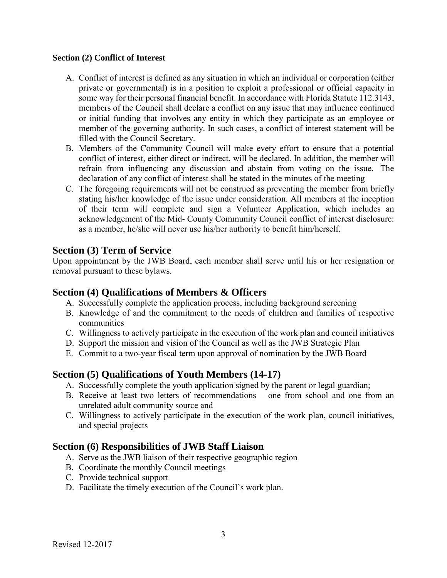#### **Section (2) Conflict of Interest**

- A. Conflict of interest is defined as any situation in which an individual or corporation (either private or governmental) is in a position to exploit a professional or official capacity in some way for their personal financial benefit. In accordance with Florida Statute 112.3143, members of the Council shall declare a conflict on any issue that may influence continued or initial funding that involves any entity in which they participate as an employee or member of the governing authority. In such cases, a conflict of interest statement will be filled with the Council Secretary.
- B. Members of the Community Council will make every effort to ensure that a potential conflict of interest, either direct or indirect, will be declared. In addition, the member will refrain from influencing any discussion and abstain from voting on the issue. The declaration of any conflict of interest shall be stated in the minutes of the meeting
- C. The foregoing requirements will not be construed as preventing the member from briefly stating his/her knowledge of the issue under consideration. All members at the inception of their term will complete and sign a Volunteer Application, which includes an acknowledgement of the Mid- County Community Council conflict of interest disclosure: as a member, he/she will never use his/her authority to benefit him/herself.

## **Section (3) Term of Service**

Upon appointment by the JWB Board, each member shall serve until his or her resignation or removal pursuant to these bylaws.

### **Section (4) Qualifications of Members & Officers**

- A. Successfully complete the application process, including background screening
- B. Knowledge of and the commitment to the needs of children and families of respective communities
- C. Willingness to actively participate in the execution of the work plan and council initiatives
- D. Support the mission and vision of the Council as well as the JWB Strategic Plan
- E. Commit to a two-year fiscal term upon approval of nomination by the JWB Board

## **Section (5) Qualifications of Youth Members (14-17)**

- A. Successfully complete the youth application signed by the parent or legal guardian;
- B. Receive at least two letters of recommendations one from school and one from an unrelated adult community source and
- C. Willingness to actively participate in the execution of the work plan, council initiatives, and special projects

## **Section (6) Responsibilities of JWB Staff Liaison**

- A. Serve as the JWB liaison of their respective geographic region
- B. Coordinate the monthly Council meetings
- C. Provide technical support
- D. Facilitate the timely execution of the Council's work plan.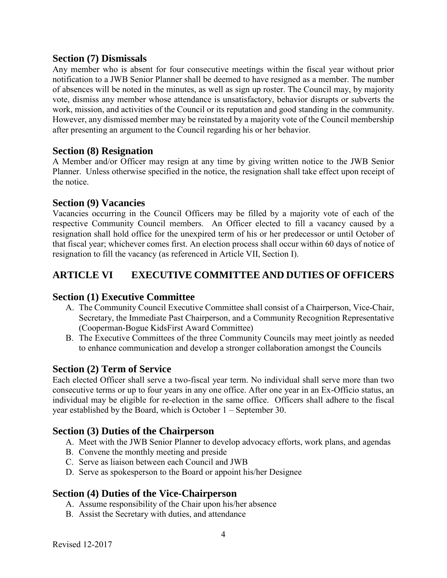#### **Section (7) Dismissals**

Any member who is absent for four consecutive meetings within the fiscal year without prior notification to a JWB Senior Planner shall be deemed to have resigned as a member. The number of absences will be noted in the minutes, as well as sign up roster. The Council may, by majority vote, dismiss any member whose attendance is unsatisfactory, behavior disrupts or subverts the work, mission, and activities of the Council or its reputation and good standing in the community. However, any dismissed member may be reinstated by a majority vote of the Council membership after presenting an argument to the Council regarding his or her behavior.

### **Section (8) Resignation**

A Member and/or Officer may resign at any time by giving written notice to the JWB Senior Planner. Unless otherwise specified in the notice, the resignation shall take effect upon receipt of the notice.

### **Section (9) Vacancies**

Vacancies occurring in the Council Officers may be filled by a majority vote of each of the respective Community Council members. An Officer elected to fill a vacancy caused by a resignation shall hold office for the unexpired term of his or her predecessor or until October of that fiscal year; whichever comes first. An election process shall occur within 60 days of notice of resignation to fill the vacancy (as referenced in Article VII, Section I).

# **ARTICLE VI EXECUTIVE COMMITTEE AND DUTIES OF OFFICERS**

## **Section (1) Executive Committee**

- A. The Community Council Executive Committee shall consist of a Chairperson, Vice-Chair, Secretary, the Immediate Past Chairperson, and a Community Recognition Representative (Cooperman-Bogue KidsFirst Award Committee)
- B. The Executive Committees of the three Community Councils may meet jointly as needed to enhance communication and develop a stronger collaboration amongst the Councils

## **Section (2) Term of Service**

Each elected Officer shall serve a two-fiscal year term. No individual shall serve more than two consecutive terms or up to four years in any one office. After one year in an Ex-Officio status, an individual may be eligible for re-election in the same office. Officers shall adhere to the fiscal year established by the Board, which is October 1 – September 30.

## **Section (3) Duties of the Chairperson**

- A. Meet with the JWB Senior Planner to develop advocacy efforts, work plans, and agendas
- B. Convene the monthly meeting and preside
- C. Serve as liaison between each Council and JWB
- D. Serve as spokesperson to the Board or appoint his/her Designee

### **Section (4) Duties of the Vice-Chairperson**

- A. Assume responsibility of the Chair upon his/her absence
- B. Assist the Secretary with duties, and attendance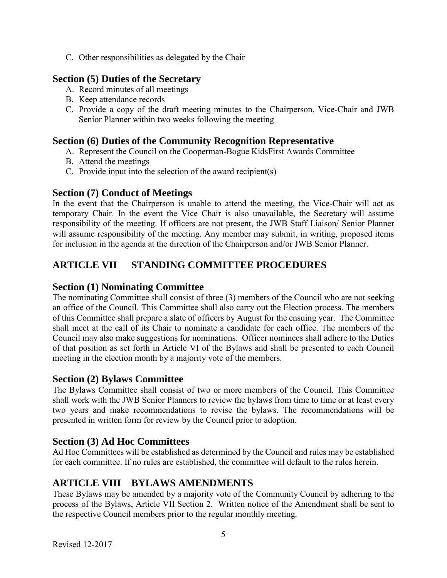C. Other responsibilities as delegated by the Chair

## **Section (5) Duties of the Secretary**

- A. Record minutes of all meetings
- B. Keep attendance records
- C. Provide a copy of the draft meeting minutes to the Chairperson, Vice-Chair and JWB Senior Planner within two weeks following the meeting

## **Section (6) Duties of the Community Recognition Representative**

- A. Represent the Council on the Cooperman-Bogue KidsFirst Awards Committee
- B. Attend the meetings
- C. Provide input into the selection of the award recipient(s)

### **Section (7) Conduct of Meetings**

In the event that the Chairperson is unable to attend the meeting, the Vice-Chair will act as temporary Chair. In the event the Vice Chair is also unavailable, the Secretary will assume responsibility of the meeting. If officers are not present, the JWB Staff Liaison/ Senior Planner will assume responsibility of the meeting. Any member may submit, in writing, proposed items for inclusion in the agenda at the direction of the Chairperson and/or JWB Senior Planner.

# **ARTICLE VII STANDING COMMITTEE PROCEDURES**

## **Section (1) Nominating Committee**

The nominating Committee shall consist of three (3) members of the Council who are not seeking an office of the Council. This Committee shall also carry out the Election process. The members of this Committee shall prepare a slate of officers by August for the ensuing year. The Committee shall meet at the call of its Chair to nominate a candidate for each office. The members of the Council may also make suggestions for nominations. Officer nominees shall adhere to the Duties of that position as set forth in Article VI of the Bylaws and shall be presented to each Council meeting in the election month by a majority vote of the members.

## **Section (2) Bylaws Committee**

The Bylaws Committee shall consist of two or more members of the Council. This Committee shall work with the JWB Senior Planners to review the bylaws from time to time or at least every two years and make recommendations to revise the bylaws. The recommendations will be presented in written form for review by the Council prior to adoption.

## **Section (3) Ad Hoc Committees**

Ad Hoc Committees will be established as determined by the Council and rules may be established for each committee. If no rules are established, the committee will default to the rules herein.

# **ARTICLE VIII BYLAWS AMENDMENTS**

These Bylaws may be amended by a majority vote of the Community Council by adhering to the process of the Bylaws, Article VII Section 2. Written notice of the Amendment shall be sent to the respective Council members prior to the regular monthly meeting.